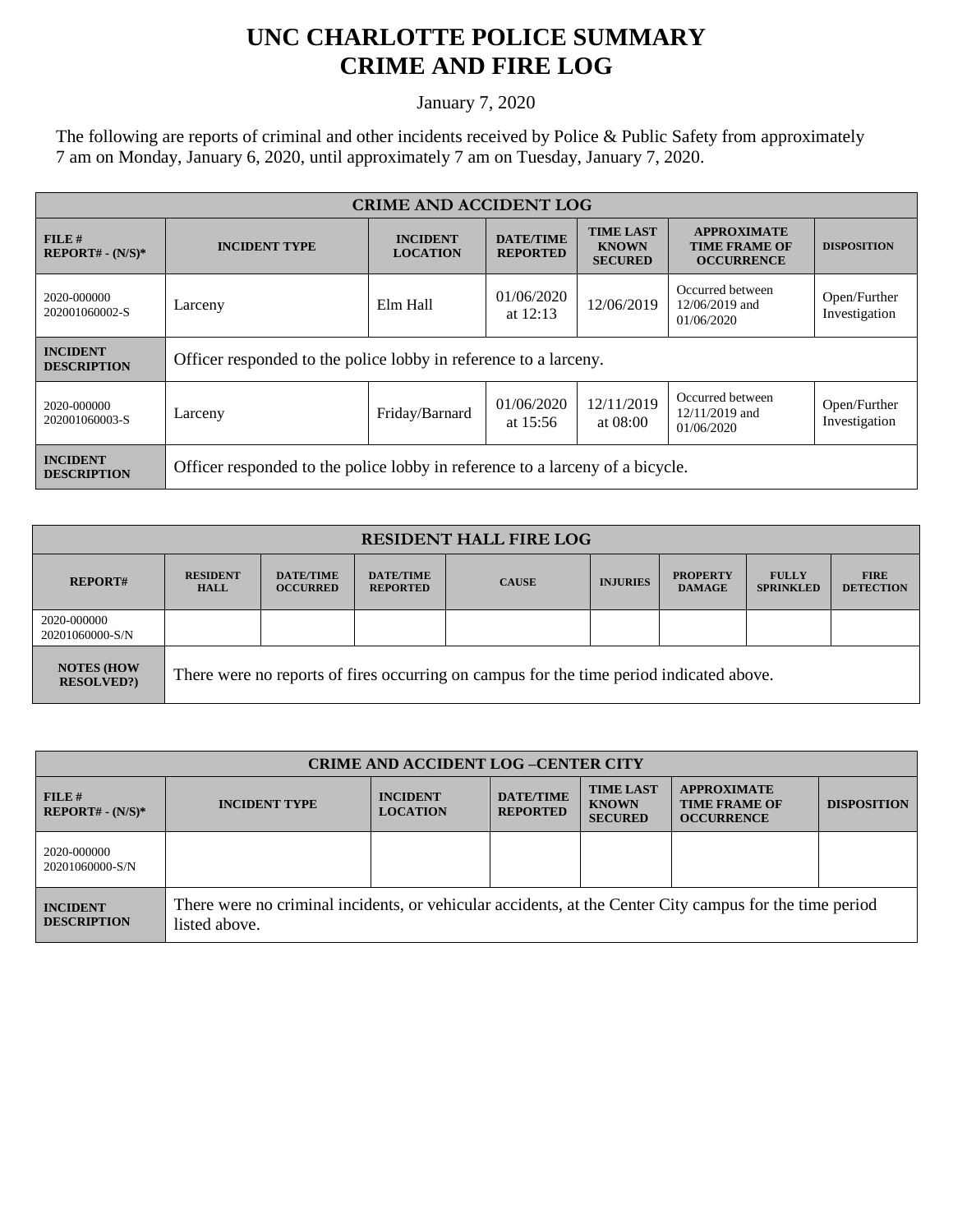## **UNC CHARLOTTE POLICE SUMMARY CRIME AND FIRE LOG**

January 7, 2020

The following are reports of criminal and other incidents received by Police & Public Safety from approximately 7 am on Monday, January 6, 2020, until approximately 7 am on Tuesday, January 7, 2020.

| <b>CRIME AND ACCIDENT LOG</b>         |                                                                               |                                    |                                     |                                                    |                                                                 |                               |  |
|---------------------------------------|-------------------------------------------------------------------------------|------------------------------------|-------------------------------------|----------------------------------------------------|-----------------------------------------------------------------|-------------------------------|--|
| FILE#<br>$REPORT# - (N/S)*$           | <b>INCIDENT TYPE</b>                                                          | <b>INCIDENT</b><br><b>LOCATION</b> | <b>DATE/TIME</b><br><b>REPORTED</b> | <b>TIME LAST</b><br><b>KNOWN</b><br><b>SECURED</b> | <b>APPROXIMATE</b><br><b>TIME FRAME OF</b><br><b>OCCURRENCE</b> | <b>DISPOSITION</b>            |  |
| 2020-000000<br>202001060002-S         | Larceny                                                                       | Elm Hall                           | 01/06/2020<br>at $12:13$            | 12/06/2019                                         | Occurred between<br>12/06/2019 and<br>01/06/2020                | Open/Further<br>Investigation |  |
| <b>INCIDENT</b><br><b>DESCRIPTION</b> | Officer responded to the police lobby in reference to a larceny.              |                                    |                                     |                                                    |                                                                 |                               |  |
| 2020-000000<br>202001060003-S         | Larceny                                                                       | Friday/Barnard                     | 01/06/2020<br>at $15:56$            | 12/11/2019<br>at 08:00                             | Occurred between<br>$12/11/2019$ and<br>01/06/2020              | Open/Further<br>Investigation |  |
| <b>INCIDENT</b><br><b>DESCRIPTION</b> | Officer responded to the police lobby in reference to a larceny of a bicycle. |                                    |                                     |                                                    |                                                                 |                               |  |

| <b>RESIDENT HALL FIRE LOG</b>         |                                                                                         |                                     |                                     |              |                 |                                  |                                  |                                 |
|---------------------------------------|-----------------------------------------------------------------------------------------|-------------------------------------|-------------------------------------|--------------|-----------------|----------------------------------|----------------------------------|---------------------------------|
| <b>REPORT#</b>                        | <b>RESIDENT</b><br><b>HALL</b>                                                          | <b>DATE/TIME</b><br><b>OCCURRED</b> | <b>DATE/TIME</b><br><b>REPORTED</b> | <b>CAUSE</b> | <b>INJURIES</b> | <b>PROPERTY</b><br><b>DAMAGE</b> | <b>FULLY</b><br><b>SPRINKLED</b> | <b>FIRE</b><br><b>DETECTION</b> |
| 2020-000000<br>20201060000-S/N        |                                                                                         |                                     |                                     |              |                 |                                  |                                  |                                 |
| <b>NOTES (HOW</b><br><b>RESOLVED?</b> | There were no reports of fires occurring on campus for the time period indicated above. |                                     |                                     |              |                 |                                  |                                  |                                 |

| <b>CRIME AND ACCIDENT LOG-CENTER CITY</b> |                                                                                                                          |                                    |                                     |                                                    |                                                                 |                    |
|-------------------------------------------|--------------------------------------------------------------------------------------------------------------------------|------------------------------------|-------------------------------------|----------------------------------------------------|-----------------------------------------------------------------|--------------------|
| $FILE$ #<br>$REPORT# - (N/S)*$            | <b>INCIDENT TYPE</b>                                                                                                     | <b>INCIDENT</b><br><b>LOCATION</b> | <b>DATE/TIME</b><br><b>REPORTED</b> | <b>TIME LAST</b><br><b>KNOWN</b><br><b>SECURED</b> | <b>APPROXIMATE</b><br><b>TIME FRAME OF</b><br><b>OCCURRENCE</b> | <b>DISPOSITION</b> |
| 2020-000000<br>20201060000-S/N            |                                                                                                                          |                                    |                                     |                                                    |                                                                 |                    |
| <b>INCIDENT</b><br><b>DESCRIPTION</b>     | There were no criminal incidents, or vehicular accidents, at the Center City campus for the time period<br>listed above. |                                    |                                     |                                                    |                                                                 |                    |